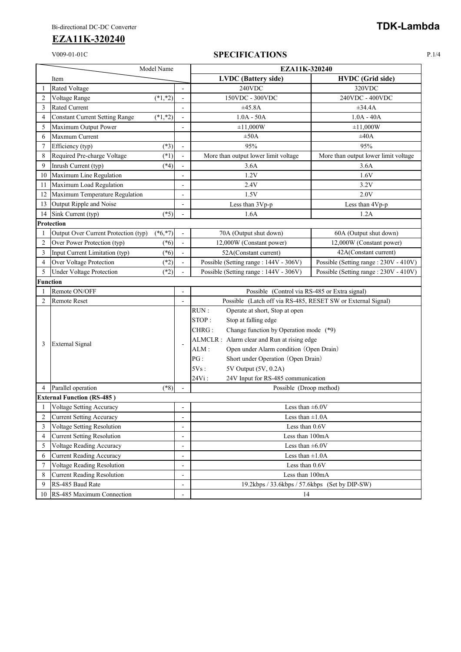## V009-01-01C **SPECIFICATIONS** P.1/4

| Model Name      |                                       |            |                              | EZA11K-320240                                                |                                       |
|-----------------|---------------------------------------|------------|------------------------------|--------------------------------------------------------------|---------------------------------------|
|                 | Item                                  |            |                              | <b>LVDC</b> (Battery side)                                   | <b>HVDC</b> (Grid side)               |
| -1              | Rated Voltage                         |            |                              | 240VDC                                                       | 320VDC                                |
| $\overline{2}$  | Voltage Range                         | $(*1, *2)$ | $\overline{a}$               | 150VDC - 300VDC                                              | 240VDC - 400VDC                       |
| 3               | Rated Current                         |            |                              | ±45.8A                                                       | $\pm 34.4A$                           |
| 4               | <b>Constant Current Setting Range</b> | $(*1, *2)$ | $\overline{a}$               | $1.0A - 50A$                                                 | $1.0A - 40A$                          |
| 5               | Maximum Output Power                  |            |                              | $\pm 11,000W$                                                | ±11,000W                              |
| 6               | Maxmum Current                        |            |                              | $\pm 50A$                                                    | ±40A                                  |
| $\overline{7}$  | Efficiency (typ)                      | $(*3)$     | $\overline{a}$               | 95%                                                          | 95%                                   |
| 8               | Required Pre-charge Voltage           | $(*1)$     | ä,                           | More than output lower limit voltage                         | More than output lower limit voltage  |
| 9               | Inrush Current (typ)                  | $(*4)$     |                              | 3.6A                                                         | 3.6A                                  |
| 10              | Maximum Line Regulation               |            | ÷                            | 1.2V                                                         | 1.6V                                  |
| 11              | Maximum Load Regulation               |            | $\overline{\phantom{a}}$     | 2.4V                                                         | 3.2V                                  |
| 12              | Maximum Temperature Regulation        |            |                              | 1.5V                                                         | 2.0V                                  |
| 13              | Output Ripple and Noise               |            | $\overline{a}$               | Less than 3Vp-p                                              | Less than 4Vp-p                       |
| 14              | Sink Current (typ)                    | $(*5)$     | $\overline{a}$               | 1.6A                                                         | 1.2A                                  |
|                 | Protection                            |            |                              |                                                              |                                       |
| 1               | Output Over Current Protection (typ)  | $(*6, *7)$ | ÷,                           | 70A (Output shut down)                                       | 60A (Output shut down)                |
| $\overline{2}$  | Over Power Protection (typ)           | $(*6)$     | ä,                           | 12,000W (Constant power)                                     | 12,000W (Constant power)              |
| 3               | Input Current Limitation (typ)        | $(*6)$     | ÷,                           | 52A(Constant current)                                        | 42A(Constant current)                 |
| 4               | Over Voltage Protection               | $(*2)$     |                              | Possible (Setting range: 144V - 306V)                        | Possible (Setting range: 230V - 410V) |
| 5               | <b>Under Voltage Protection</b>       | $(*2)$     | $\overline{\phantom{a}}$     | Possible (Setting range: 144V - 306V)                        | Possible (Setting range: 230V - 410V) |
| <b>Function</b> |                                       |            |                              |                                                              |                                       |
|                 | Remote ON/OFF                         |            | $\overline{a}$               | Possible (Control via RS-485 or Extra signal)                |                                       |
| $\overline{c}$  | Remote Reset                          |            | L,                           | Possible (Latch off via RS-485, RESET SW or External Signal) |                                       |
|                 | <b>External Signal</b>                |            |                              | RUN:<br>Operate at short, Stop at open                       |                                       |
|                 |                                       |            |                              | STOP:<br>Stop at falling edge                                |                                       |
|                 |                                       |            |                              | CHRG:<br>Change function by Operation mode (*9)              |                                       |
| 3               |                                       |            |                              | ALMCLR : Alarm clear and Run at rising edge                  |                                       |
|                 |                                       |            |                              | Open under Alarm condition (Open Drain)<br>ALM:              |                                       |
|                 |                                       |            |                              | PG:<br>Short under Operation (Open Drain)                    |                                       |
|                 |                                       |            |                              | 5Vs:<br>5V Output (5V, 0.2A)                                 |                                       |
|                 |                                       |            |                              | 24Vi:<br>24V Input for RS-485 communication                  |                                       |
|                 | Parallel operation                    | $(*8)$     | $\overline{\phantom{a}}$     | Possible (Droop method)                                      |                                       |
|                 | <b>External Function (RS-485)</b>     |            |                              |                                                              |                                       |
| 1               | Voltage Setting Accuracy              |            | $\overline{a}$               | Less than $\pm 6.0V$                                         |                                       |
| 2               | <b>Current Setting Accuracy</b>       |            | $\overline{a}$               | Less than $\pm 1.0$ A                                        |                                       |
| 3               | Voltage Setting Resolution            |            |                              | Less than 0.6V                                               |                                       |
| 4               | <b>Current Setting Resolution</b>     |            | ÷                            | Less than 100mA                                              |                                       |
| 5               | Voltage Reading Accuracy              |            | $\overline{a}$               | Less than $\pm 6.0V$                                         |                                       |
| 6               | <b>Current Reading Accuracy</b>       |            | $\qquad \qquad \blacksquare$ | Less than $\pm 1.0$ A                                        |                                       |
| 7               | Voltage Reading Resolution            |            | $\overline{a}$               | Less than 0.6V                                               |                                       |
| 8               | <b>Current Reading Resolution</b>     |            | $\overline{a}$               | Less than 100mA                                              |                                       |
| 9               | RS-485 Baud Rate                      |            |                              | 19.2kbps / 33.6kbps / 57.6kbps (Set by DIP-SW)               |                                       |
|                 | 10 RS-485 Maximum Connection          |            | $\overline{a}$               | 14                                                           |                                       |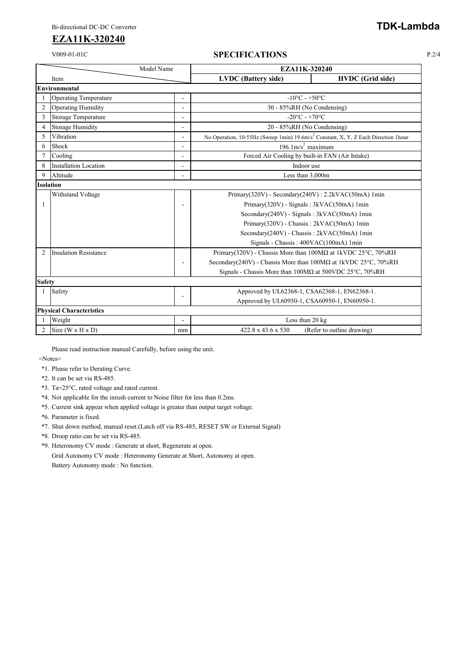### V009-01-01C **SPECIFICATIONS** P.2/4

| Model Name       |                                 | EZA11K-320240            |                                   |                                                                                                |  |  |  |
|------------------|---------------------------------|--------------------------|-----------------------------------|------------------------------------------------------------------------------------------------|--|--|--|
|                  | Item                            |                          | <b>LVDC</b> (Battery side)        | <b>HVDC</b> (Grid side)                                                                        |  |  |  |
|                  | Environmental                   |                          |                                   |                                                                                                |  |  |  |
|                  | <b>Operating Temperature</b>    | $\overline{\phantom{a}}$ | $-10^{\circ}$ C - $+50^{\circ}$ C |                                                                                                |  |  |  |
| $\overline{c}$   | <b>Operating Humidity</b>       | ä,                       |                                   | 30 - 85%RH (No Condensing)                                                                     |  |  |  |
| 3                | Storage Temperature             | $\overline{a}$           |                                   | $-20^{\circ}$ C - +70 $^{\circ}$ C                                                             |  |  |  |
| $\overline{4}$   | <b>Storage Humidity</b>         | $\overline{a}$           |                                   | 20 - 85%RH (No Condensing)                                                                     |  |  |  |
| 5                | Vibration                       |                          |                                   | No Operation, 10-55Hz (Sweep 1min) 19.6m/s <sup>2</sup> Constant, X, Y, Z Each Direction 1hour |  |  |  |
| 6                | Shock                           | ÷,                       |                                   | $196.1 \text{m/s}^2$ maximum                                                                   |  |  |  |
|                  | Cooling                         | $\overline{a}$           |                                   | Forced Air Cooling by built-in FAN (Air Intake)                                                |  |  |  |
| 8                | <b>Installation Location</b>    | $\blacksquare$           |                                   | Indoor use                                                                                     |  |  |  |
| 9                | Altitude                        | $\blacksquare$           |                                   | Less than 3,000m                                                                               |  |  |  |
| <b>Isolation</b> |                                 |                          |                                   |                                                                                                |  |  |  |
|                  | Withstand Voltage               |                          |                                   | Primary(320V) - Secondary(240V) : 2.2kVAC(50mA) 1min                                           |  |  |  |
| 1                |                                 | $\overline{\phantom{a}}$ |                                   | Primary(320V) - Signals: 3kVAC(50mA) 1min                                                      |  |  |  |
|                  |                                 |                          |                                   | Secondary(240V) - Signals: 3kVAC(50mA) 1min                                                    |  |  |  |
|                  |                                 |                          |                                   | Primary(320V) - Chassis: 2kVAC(50mA) 1min                                                      |  |  |  |
|                  |                                 |                          |                                   | Secondary(240V) - Chassis: 2kVAC(50mA) 1min                                                    |  |  |  |
|                  |                                 |                          |                                   | Signals - Chassis: 400VAC(100mA) 1min                                                          |  |  |  |
| $\mathfrak{D}$   | <b>Insulation Resistance</b>    |                          |                                   | Primary(320V) - Chassis More than $100M\Omega$ at 1kVDC 25°C, 70%RH                            |  |  |  |
|                  |                                 | $\overline{\phantom{a}}$ |                                   | Secondary(240V) - Chassis More than $100M\Omega$ at 1kVDC 25°C, 70%RH                          |  |  |  |
|                  |                                 |                          |                                   | Signals - Chassis More than 100MΩ at 500VDC 25°C, 70%RH                                        |  |  |  |
| <b>Safety</b>    |                                 |                          |                                   |                                                                                                |  |  |  |
|                  | Safety                          | $\blacksquare$           |                                   | Approved by UL62368-1, CSA62368-1, EN62368-1.                                                  |  |  |  |
|                  |                                 |                          |                                   | Approved by UL60950-1, CSA60950-1, EN60950-1.                                                  |  |  |  |
|                  | <b>Physical Characteristics</b> |                          |                                   |                                                                                                |  |  |  |
|                  | Weight                          | $\overline{\phantom{a}}$ |                                   | Less than 20 kg                                                                                |  |  |  |
| $\overline{c}$   | Size $(W \times H \times D)$    | mm                       | 422.8 x 43.6 x 530                | (Refer to outline drawing)                                                                     |  |  |  |

Please read instruction manual Carefully, before using the unit.

=Notes=

- \*1. Please refer to Derating Curve.
- \*2. It can be set via RS-485.
- \*3. Ta=25°C, rated voltage and rated current.
- \*4. Not applicable for the inrush current to Noise filter for less than 0.2ms.
- \*5. Current sink appear when applied voltage is greater than output target voltage.
- \*6. Parameter is fixed.
- \*7. Shut down method, manual reset.(Latch off via RS-485, RESET SW or External Signal)
- \*8. Droop ratio can be set via RS-485.
- \*9. Heteronomy CV mode : Generate at short, Regenerate at open. Grid Autonomy CV mode : Heteronomy Generate at Short, Autonomy at open. Battery Autonomy mode : No function.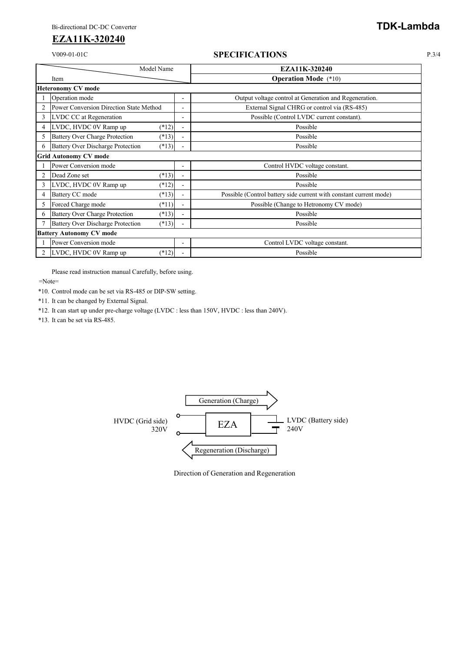### V009-01-01C **SPECIFICATIONS** P.3/4

| Model Name                   |                                          |         |                          | EZA11K-320240                                                      |  |  |  |  |
|------------------------------|------------------------------------------|---------|--------------------------|--------------------------------------------------------------------|--|--|--|--|
|                              | Item                                     |         |                          | <b>Operation Mode</b> (*10)                                        |  |  |  |  |
|                              | <b>Heteronomy CV mode</b>                |         |                          |                                                                    |  |  |  |  |
|                              | Operation mode                           |         | $\overline{\phantom{a}}$ | Output voltage control at Generation and Regeneration.             |  |  |  |  |
| $\overline{c}$               | Power Conversion Direction State Method  |         | $\overline{\phantom{a}}$ | External Signal CHRG or control via (RS-485)                       |  |  |  |  |
| 3                            | LVDC CC at Regeneration                  |         | $\overline{\phantom{a}}$ | Possible (Control LVDC current constant).                          |  |  |  |  |
| 4                            | LVDC, HVDC 0V Ramp up                    | $(*12)$ |                          | Possible                                                           |  |  |  |  |
| 5                            | <b>Battery Over Charge Protection</b>    | $(*13)$ | $\blacksquare$           | Possible                                                           |  |  |  |  |
|                              | <b>Battery Over Discharge Protection</b> | $(*13)$ |                          | Possible                                                           |  |  |  |  |
| <b>Grid Autonomy CV mode</b> |                                          |         |                          |                                                                    |  |  |  |  |
|                              | Power Conversion mode                    |         |                          | Control HVDC voltage constant.                                     |  |  |  |  |
| $\overline{c}$               | Dead Zone set                            | $(*13)$ | $\ddot{\phantom{1}}$     | Possible                                                           |  |  |  |  |
| 3                            | LVDC, HVDC 0V Ramp up                    | $(*12)$ |                          | Possible                                                           |  |  |  |  |
| 4                            | Battery CC mode                          | $(*13)$ |                          | Possible (Control battery side current with constant current mode) |  |  |  |  |
| 5                            | Forced Charge mode                       | $(*11)$ | $\blacksquare$           | Possible (Change to Hetronomy CV mode)                             |  |  |  |  |
| 6                            | <b>Battery Over Charge Protection</b>    | $(*13)$ |                          | Possible                                                           |  |  |  |  |
|                              | <b>Battery Over Discharge Protection</b> | $(*13)$ |                          | Possible                                                           |  |  |  |  |
|                              | <b>Battery Autonomy CV mode</b>          |         |                          |                                                                    |  |  |  |  |
|                              | Power Conversion mode                    |         | $\blacksquare$           | Control LVDC voltage constant.                                     |  |  |  |  |
| 2                            | LVDC, HVDC 0V Ramp up                    | $(*12)$ |                          | Possible                                                           |  |  |  |  |

Please read instruction manual Carefully, before using.

=Note=

\*10. Control mode can be set via RS-485 or DIP-SW setting.

\*11. It can be changed by External Signal.

\*12. It can start up under pre-charge voltage (LVDC : less than 150V, HVDC : less than 240V).

\*13. It can be set via RS-485.



Direction of Generation and Regeneration